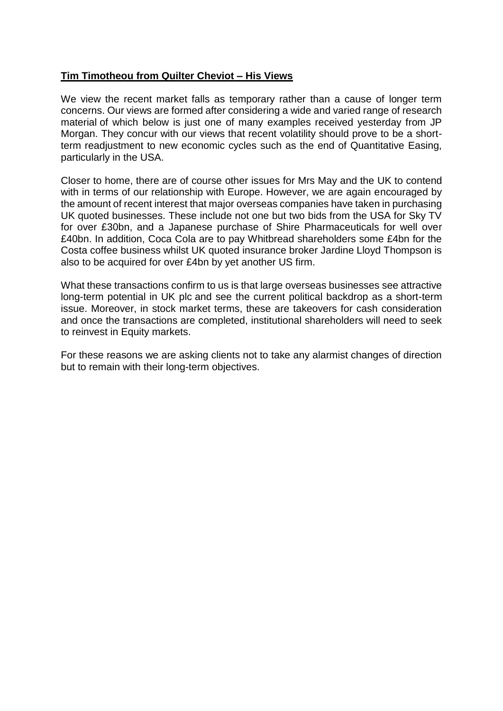## **Tim Timotheou from Quilter Cheviot – His Views**

We view the recent market falls as temporary rather than a cause of longer term concerns. Our views are formed after considering a wide and varied range of research material of which below is just one of many examples received yesterday from JP Morgan. They concur with our views that recent volatility should prove to be a shortterm readjustment to new economic cycles such as the end of Quantitative Easing, particularly in the USA.

Closer to home, there are of course other issues for Mrs May and the UK to contend with in terms of our relationship with Europe. However, we are again encouraged by the amount of recent interest that major overseas companies have taken in purchasing UK quoted businesses. These include not one but two bids from the USA for Sky TV for over £30bn, and a Japanese purchase of Shire Pharmaceuticals for well over £40bn. In addition, Coca Cola are to pay Whitbread shareholders some £4bn for the Costa coffee business whilst UK quoted insurance broker Jardine Lloyd Thompson is also to be acquired for over £4bn by yet another US firm.

What these transactions confirm to us is that large overseas businesses see attractive long-term potential in UK plc and see the current political backdrop as a short-term issue. Moreover, in stock market terms, these are takeovers for cash consideration and once the transactions are completed, institutional shareholders will need to seek to reinvest in Equity markets.

For these reasons we are asking clients not to take any alarmist changes of direction but to remain with their long-term objectives.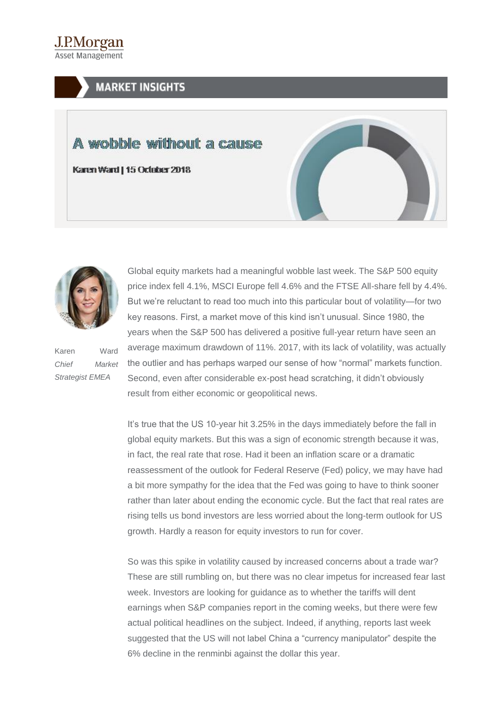.LPMorgan **Asset Management** 

## **MARKET INSIGHTS**

## A wobble without a cause

Karen Ward | 15 October 2018





Karen Ward *Chief Market Strategist EMEA*

Global equity markets had a meaningful wobble last week. The S&P 500 equity price index fell 4.1%, MSCI Europe fell 4.6% and the FTSE All-share fell by 4.4%. But we're reluctant to read too much into this particular bout of volatility—for two key reasons. First, a market move of this kind isn't unusual. Since 1980, the years when the S&P 500 has delivered a positive full-year return have seen an average maximum drawdown of 11%. 2017, with its lack of volatility, was actually the outlier and has perhaps warped our sense of how "normal" markets function. Second, even after considerable ex-post head scratching, it didn't obviously result from either economic or geopolitical news.

It's true that the US 10-year hit 3.25% in the days immediately before the fall in global equity markets. But this was a sign of economic strength because it was, in fact, the real rate that rose. Had it been an inflation scare or a dramatic reassessment of the outlook for Federal Reserve (Fed) policy, we may have had a bit more sympathy for the idea that the Fed was going to have to think sooner rather than later about ending the economic cycle. But the fact that real rates are rising tells us bond investors are less worried about the long-term outlook for US growth. Hardly a reason for equity investors to run for cover.

So was this spike in volatility caused by increased concerns about a trade war? These are still rumbling on, but there was no clear impetus for increased fear last week. Investors are looking for guidance as to whether the tariffs will dent earnings when S&P companies report in the coming weeks, but there were few actual political headlines on the subject. Indeed, if anything, reports last week suggested that the US will not label China a "currency manipulator" despite the 6% decline in the renminbi against the dollar this year.